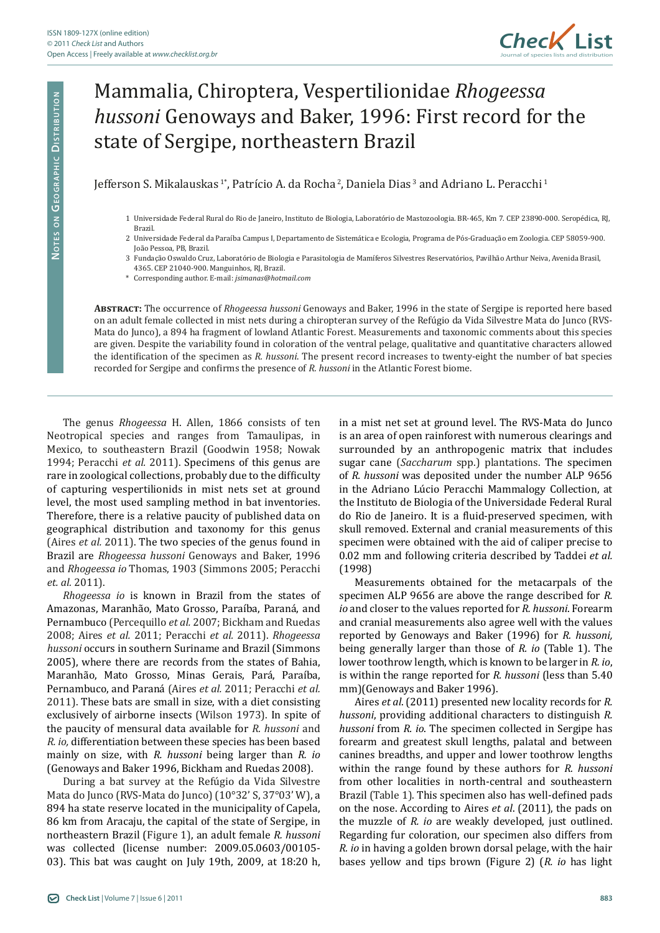

## Mammalia, Chiroptera, Vespertilionidae *Rhogeessa hussoni* Genoways and Baker, 1996: First record for the state of Sergipe, northeastern Brazil

## Jefferson S. Mikalauskas<sup>1\*</sup>, Patrício A. da Rocha<sup>2</sup>, Daniela Dias<sup>3</sup> and Adriano L. Peracchi<sup>1</sup>

- 1 Universidade Federal Rural do Rio de Janeiro, Instituto de Biologia, Laboratório de Mastozoologia. BR-465, Km 7. CEP 23890-000. Seropédica, RJ, Brazil.
- 2 Universidade Federal da Paraíba Campus I, Departamento de Sistemática e Ecologia, Programa de Pós-Graduação em Zoologia. CEP 58059-900. João Pessoa, PB, Brazil.
- 3 Fundação Oswaldo Cruz, Laboratório de Biologia e Parasitologia de Mamíferos Silvestres Reservatórios, Pavilhão Arthur Neiva, Avenida Brasil, 4365. CEP 21040-900. Manguinhos, RJ, Brazil.
- \* Corresponding author. E-mail: *jsimanas@hotmail.com*

**Abstract:** The occurrence of *Rhogeessa hussoni* Genoways and Baker, 1996 in the state of Sergipe is reported here based on an adult female collected in mist nets during a chiropteran survey of the Refúgio da Vida Silvestre Mata do Junco (RVS-Mata do Junco), a 894 ha fragment of lowland Atlantic Forest. Measurements and taxonomic comments about this species are given. Despite the variability found in coloration of the ventral pelage, qualitative and quantitative characters allowed the identification of the specimen as *R. hussoni*. The present record increases to twenty-eight the number of bat species recorded for Sergipe and confirms the presence of *R. hussoni* in the Atlantic Forest biome.

The genus *Rhogeessa* H. Allen, 1866 consists of ten Neotropical species and ranges from Tamaulipas, in Mexico, to southeastern Brazil (Goodwin 1958; Nowak 1994; Peracchi *et al.* 2011). Specimens of this genus are rare in zoological collections, probably due to the difficulty of capturing vespertilionids in mist nets set at ground level, the most used sampling method in bat inventories. Therefore, there is a relative paucity of published data on geographical distribution and taxonomy for this genus (Aires *et al.* 2011). The two species of the genus found in Brazil are *Rhogeessa hussoni* Genoways and Baker, 1996 and *Rhogeessa io* Thomas, 1903 (Simmons 2005; Peracchi *et. al.* 2011).

*Rhogeessa io* is known in Brazil from the states of Amazonas, Maranhão, Mato Grosso, Paraíba, Paraná, and Pernambuco (Percequillo *et al.* 2007; Bickham and Ruedas 2008; Aires *et al.* 2011; Peracchi *et al.* 2011). *Rhogeessa hussoni* occurs in southern Suriname and Brazil (Simmons 2005), where there are records from the states of Bahia, Maranhão, Mato Grosso, Minas Gerais, Pará, Paraíba, Pernambuco, and Paraná (Aires *et al.* 2011; Peracchi *et al.* 2011). These bats are small in size, with a diet consisting exclusively of airborne insects (Wilson 1973). In spite of the paucity of mensural data available for *R. hussoni* and *R. io,* differentiation between these species has been based mainly on size, with *R. hussoni* being larger than *R. io*  (Genoways and Baker 1996, Bickham and Ruedas 2008).

During a bat survey at the Refúgio da Vida Silvestre Mata do Junco (RVS-Mata do Junco) (10°32' S, 37°03' W), a 894 ha state reserve located in the municipality of Capela, 86 km from Aracaju, the capital of the state of Sergipe, in northeastern Brazil (Figure 1), an adult female *R. hussoni*  was collected (license number: 2009.05.0603/00105- 03). This bat was caught on July 19th, 2009, at 18:20 h, in a mist net set at ground level. The RVS-Mata do Junco is an area of open rainforest with numerous clearings and surrounded by an anthropogenic matrix that includes sugar cane (*Saccharum* spp.) plantations. The specimen of *R. hussoni* was deposited under the number ALP 9656 in the Adriano Lúcio Peracchi Mammalogy Collection, at the Instituto de Biologia of the Universidade Federal Rural do Rio de Janeiro. It is a fluid-preserved specimen, with skull removed. External and cranial measurements of this specimen were obtained with the aid of caliper precise to 0.02 mm and following criteria described by Taddei *et al.* (1998)

Measurements obtained for the metacarpals of the specimen ALP 9656 are above the range described for *R. io* and closer to the values reported for *R. hussoni*. Forearm and cranial measurements also agree well with the values reported by Genoways and Baker (1996) for *R. hussoni,*  being generally larger than those of *R. io* (Table 1). The lower toothrow length, which is known to be larger in *R. io*, is within the range reported for *R. hussoni* (less than 5.40 mm)(Genoways and Baker 1996).

Aires *et al*. (2011) presented new locality records for *R. hussoni*, providing additional characters to distinguish *R. hussoni* from *R. io*. The specimen collected in Sergipe has forearm and greatest skull lengths, palatal and between canines breadths, and upper and lower toothrow lengths within the range found by these authors for *R. hussoni* from other localities in north-central and southeastern Brazil (Table 1). This specimen also has well-defined pads on the nose. According to Aires *et al*. (2011), the pads on the muzzle of *R. io* are weakly developed, just outlined. Regarding fur coloration, our specimen also differs from *R. io* in having a golden brown dorsal pelage, with the hair bases yellow and tips brown (Figure 2) (*R. io* has light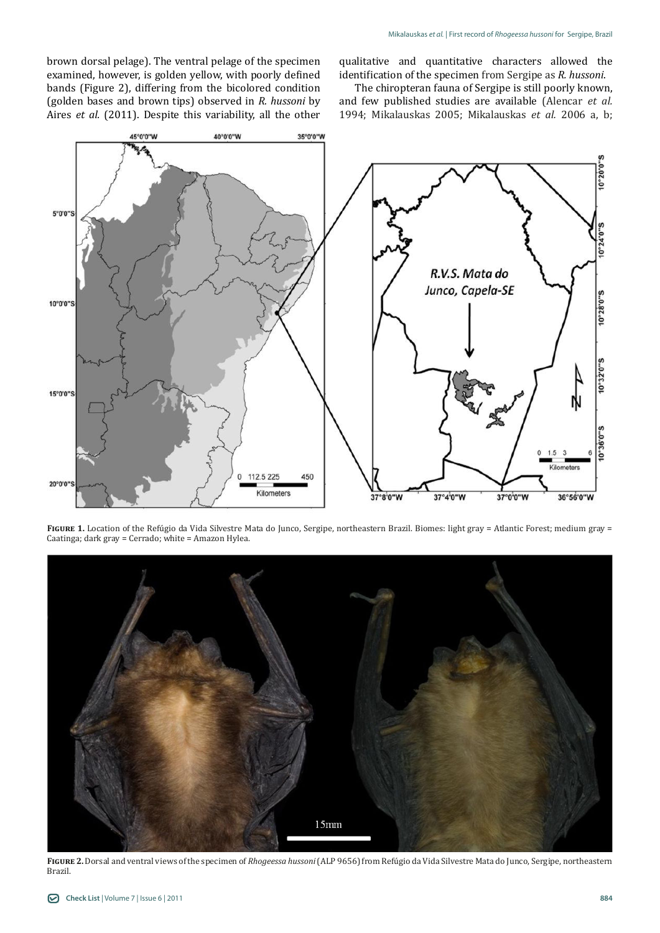brown dorsal pelage). The ventral pelage of the specimen examined, however, is golden yellow, with poorly defined bands (Figure 2), differing from the bicolored condition (golden bases and brown tips) observed in *R. hussoni* by Aires *et al.* (2011). Despite this variability, all the other qualitative and quantitative characters allowed the identification of the specimen from Sergipe as *R. hussoni*.

The chiropteran fauna of Sergipe is still poorly known, and few published studies are available (Alencar *et al.* 1994; Mikalauskas 2005; Mikalauskas *et al.* 2006 a, b;



**Figure 1.** Location of the Refúgio da Vida Silvestre Mata do Junco, Sergipe, northeastern Brazil. Biomes: light gray = Atlantic Forest; medium gray = Caatinga; dark gray = Cerrado; white = Amazon Hylea.



FIGURE 2. Dorsal and ventral views of the specimen of *Rhogeessa hussoni* (ALP 9656) from Refúgio da Vida Silvestre Mata do Junco, Sergipe, northeastern Brazil.